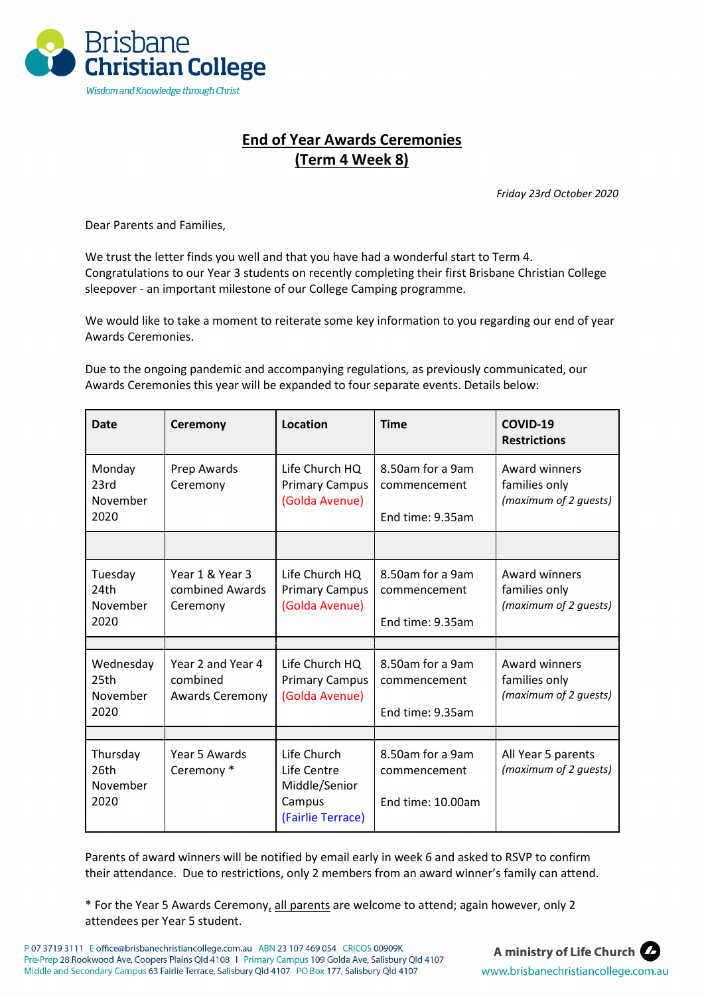

## **End of Year Awards Ceremonies (Term 4 Week 8)**

*Friday 23rd October 2020*

Dear Parents and Families,

We trust the letter finds you well and that you have had a wonderful start to Term 4. Congratulations to our Year 3 students on recently completing their first Brisbane Christian College sleepover - an important milestone of our College Camping programme.

We would like to take a moment to reiterate some key information to you regarding our end of year Awards Ceremonies.

Due to the ongoing pandemic and accompanying regulations, as previously communicated, our Awards Ceremonies this year will be expanded to four separate events. Details below:

| <b>Date</b>                           | Ceremony                                                | Location                                                                   | <b>Time</b>                                           | COVID-19<br><b>Restrictions</b>                                |
|---------------------------------------|---------------------------------------------------------|----------------------------------------------------------------------------|-------------------------------------------------------|----------------------------------------------------------------|
| Monday<br>23rd<br>November<br>2020    | Prep Awards<br>Ceremony                                 | Life Church HQ<br><b>Primary Campus</b><br>(Golda Avenue)                  | 8.50am for a 9am<br>commencement<br>End time: 9.35am  | Award winners<br>families only<br>(maximum of 2 guests)        |
|                                       |                                                         |                                                                            |                                                       |                                                                |
| Tuesday<br>24th<br>November<br>2020   | Year 1 & Year 3<br>combined Awards<br>Ceremony          | Life Church HQ<br><b>Primary Campus</b><br>(Golda Avenue)                  | 8.50am for a 9am<br>commencement<br>End time: 9.35am  | <b>Award winners</b><br>families only<br>(maximum of 2 guests) |
|                                       |                                                         |                                                                            |                                                       |                                                                |
| Wednesday<br>25th<br>November<br>2020 | Year 2 and Year 4<br>combined<br><b>Awards Ceremony</b> | Life Church HQ<br><b>Primary Campus</b><br>(Golda Avenue)                  | 8.50am for a 9am<br>commencement<br>End time: 9.35am  | Award winners<br>families only<br>(maximum of 2 guests)        |
|                                       |                                                         |                                                                            |                                                       |                                                                |
| Thursday<br>26th<br>November<br>2020  | Year 5 Awards<br>Ceremony *                             | Life Church<br>Life Centre<br>Middle/Senior<br>Campus<br>(Fairlie Terrace) | 8.50am for a 9am<br>commencement<br>End time: 10.00am | All Year 5 parents<br>(maximum of 2 guests)                    |

Parents of award winners will be notified by email early in week 6 and asked to RSVP to confirm their attendance. Due to restrictions, only 2 members from an award winner's family can attend.

\* For the Year 5 Awards Ceremony, all parents are welcome to attend; again however, only 2 attendees per Year 5 student.